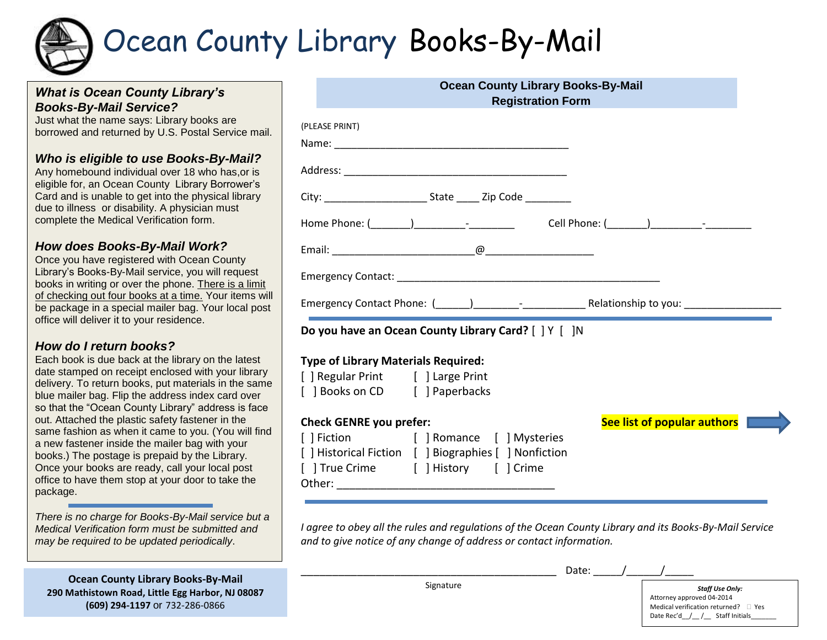# Ocean County Library Books-By-Mail

## *What is Ocean County Library's Books-By-Mail Service?*

Just what the name says: Library books are borrowed and returned by U.S. Postal Service mail.

## *Who is eligible to use Books-By-Mail?*

Any homebound individual over 18 who has,or is eligible for, an Ocean County Library Borrower's Card and is unable to get into the physical library due to illness or disability. A physician must complete the Medical Verification form.

#### *How does Books-By-Mail Work?*

Once you have registered with Ocean County Library's Books-By-Mail service, you will request books in writing or over the phone. There is a limit of checking out four books at a time. Your items will be package in a special mailer bag. Your local post office will deliver it to your residence.

### *How do I return books?*

Each book is due back at the library on the latest date stamped on receipt enclosed with your library delivery. To return books, put materials in the same blue mailer bag. Flip the address index card over so that the "Ocean County Library" address is face out. Attached the plastic safety fastener in the same fashion as when it came to you. (You will find a new fastener inside the mailer bag with your books.) The postage is prepaid by the Library. Once your books are ready, call your local post office to have them stop at your door to take the package.

*There is no charge for Books-By-Mail service but a Medical Verification form must be submitted and may be required to be updated periodically*.

**Ocean County Library Books-By-Mail 290 Mathistown Road, Little Egg Harbor, NJ 08087 (609) 294-1197** or 732-286-0866

|                                            | <b>Registration Form</b>                                                                    | <b>Ocean County Library Books-By-Mail</b> |  |
|--------------------------------------------|---------------------------------------------------------------------------------------------|-------------------------------------------|--|
| (PLEASE PRINT)                             |                                                                                             |                                           |  |
|                                            |                                                                                             |                                           |  |
|                                            |                                                                                             |                                           |  |
|                                            | City: ___________________________________ State ________________________________            |                                           |  |
|                                            |                                                                                             |                                           |  |
|                                            |                                                                                             |                                           |  |
|                                            |                                                                                             |                                           |  |
|                                            |                                                                                             |                                           |  |
|                                            |                                                                                             |                                           |  |
|                                            | Do you have an Ocean County Library Card? [ ] Y [ ]N                                        |                                           |  |
| <b>Type of Library Materials Required:</b> |                                                                                             |                                           |  |
| [ ] Regular Print [ ] Large Print          |                                                                                             |                                           |  |
| [ ] Books on CD [ ] Paperbacks             |                                                                                             |                                           |  |
| <b>Check GENRE you prefer:</b>             |                                                                                             |                                           |  |
|                                            |                                                                                             | See list of popular authors               |  |
|                                            | [] Fiction [] Romance [] Mysteries<br>[ ] Historical Fiction [ ] Biographies [ ] Nonfiction |                                           |  |
|                                            | [ ] True Crime [ ] History [ ] Crime                                                        |                                           |  |

*I agree to obey all the rules and regulations of the Ocean County Library and its Books-By-Mail Service and to give notice of any change of address or contact information.*

Signature

\_\_\_\_\_\_\_\_\_\_\_\_\_\_\_\_\_\_\_\_\_\_\_\_\_\_\_\_\_\_\_\_\_\_\_\_\_\_\_\_\_ Date: \_\_\_\_\_/\_\_\_\_\_\_/\_\_\_\_\_

*Staff Use Only:* Attorney approved 04-2014 Medical verification returned?  $\Box$  Yes Date Rec'd / / Staff Initials